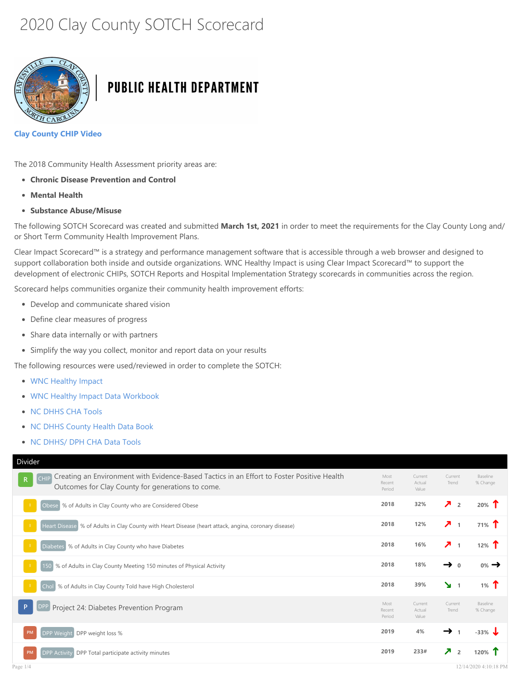# 2020 Clay County SOTCH Scorecard



## **PUBLIC HEALTH DEPARTMENT**

#### Clay County CHIP Video

The 2018 Community Health Assessment priority areas are:

- Chronic Disease Prevention and Control
- Mental Health
- Substance Abuse/Misuse

The following SOTCH Scorecard was created and submitted March 1st, 2021 in order to meet the requirements for the Clay County Long and/ or Short Term Community Health Improvement Plans.

Clear Impact Scorecard™ is a strategy and performance management software that is accessible through a web browser and designed to support collaboration both inside and outside organizations. WNC Healthy Impact is using Clear Impact Scorecard™ to support the development of electronic CHIPs, SOTCH Reports and Hospital Implementation Strategy scorecards in communities across the region.

Scorecard helps communities organize their community health improvement efforts:

- Develop and communicate shared vision
- Define clear measures of progress
- Share data internally or with partners
- Simplify the way you collect, monitor and report data on your results

The following resources were used/reviewed in order to complete the SOTCH:

- WNC Healthy Impact
- WNC Healthy Impact Data Workbook
- NC DHHS CHA Tools
- NC DHHS [County](http://www.wnchealthyimpact.com/) Health Data Book
- NC [DHHS/](https://www.wnchn.org/wnc-healthy-impact/regional-data/) DPH CHA Data Tools

| Divider                                                                                                                                                                        |                          |                            |                                            |                      |
|--------------------------------------------------------------------------------------------------------------------------------------------------------------------------------|--------------------------|----------------------------|--------------------------------------------|----------------------|
| Creating an Environment with Evidence-Based Tactics in an Effort to Foster Positive Health<br><b>CHIP</b><br>$\mathbb{R}$<br>Outcomes for Clay County for generations to come. | Most<br>Recent<br>Period | Current<br>Actual<br>Value | Current<br>Trend                           | Baseline<br>% Change |
| Obese % of Adults in Clay County who are Considered Obese                                                                                                                      | 2018                     | 32%                        | $\lambda$ <sub>2</sub>                     | $20\%$ 1             |
| Heart Disease % of Adults in Clay County with Heart Disease (heart attack, angina, coronary disease)                                                                           | 2018                     | 12%                        | $\overline{\phantom{a}}$<br>$\overline{1}$ | 71% T                |
| Diabetes % of Adults in Clay County who have Diabetes                                                                                                                          | 2018                     | 16%                        | $\overline{\phantom{a}}$<br>$\mathbf{1}$   | 12% $T$              |
| 150 % of Adults in Clay County Meeting 150 minutes of Physical Activity                                                                                                        | 2018                     | 18%                        | →<br>$\Omega$                              | $0\% \rightarrow$    |
| % of Adults in Clay County Told have High Cholesterol<br>Chol                                                                                                                  | 2018                     | 39%                        | $\mathbf{M}$ 1                             | 1% $\Upsilon$        |
| Project 24: Diabetes Prevention Program                                                                                                                                        | Most<br>Recent<br>Period | Current<br>Actual<br>Value | Current<br>Trend                           | Baseline<br>% Change |
| PM<br>DPP Weight DPP weight loss %                                                                                                                                             | 2019                     | 4%                         | →                                          | $-33\%$ J            |
| DPP Total participate activity minutes<br><b>DPP Activity</b><br>PM                                                                                                            | 2019                     | 233#                       | $\overline{\phantom{a}}$<br>$\overline{2}$ | 120%                 |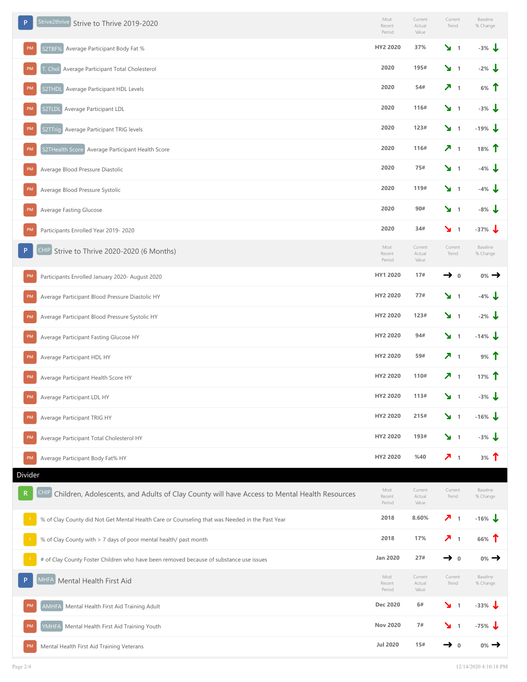| Strive2thrive<br>P<br>Strive to Thrive 2019-2020                                                                  | Most<br>Recent<br>Period | Current<br>Actual<br>Value | Current<br>Trend    | Baseline<br>% Change  |
|-------------------------------------------------------------------------------------------------------------------|--------------------------|----------------------------|---------------------|-----------------------|
| Average Participant Body Fat %<br><b>PM</b><br>S2TBF%                                                             | HY2 2020                 | 37%                        | $\mathbf{v}$ 1      | $-3%$                 |
| T. Chol Average Participant Total Cholesterol<br><b>PM</b>                                                        | 2020                     | 195#                       | $\mathbf{v}$ 1      | $-2\%$                |
| <b>PM</b><br>Average Participant HDL Levels<br>S2THDL                                                             | 2020                     | 54#                        | 7 <sub>1</sub>      | $6%$ 1                |
| S2TLDL Average Participant LDL<br>PM                                                                              | 2020                     | 116#                       | $\mathbf{v}$ 1      | $-3\%$                |
| PM<br>S2TTrig Average Participant TRIG levels                                                                     | 2020                     | 123#                       | $\mathbf{v}$ 1      | $-19\%$               |
| S2THealth Score Average Participant Health Score<br>PM                                                            | 2020                     | 116#                       | 7 <sub>1</sub>      | 18%                   |
| Average Blood Pressure Diastolic<br><b>PM</b>                                                                     | 2020                     | 75#                        | $\mathbf{v}$ 1      | $-4\%$                |
| <b>PM</b><br>Average Blood Pressure Systolic                                                                      | 2020                     | 119#                       | $\mathbf{v}$ 1      | $-4\%$                |
| PM<br>Average Fasting Glucose                                                                                     | 2020                     | 90#                        | $\mathbf{v}$ 1      | $-8\%$ J              |
| <b>PM</b><br>Participants Enrolled Year 2019-2020                                                                 | 2020                     | 34#                        | 1 צ                 | $-37\%$ $\frac{1}{2}$ |
| CHIP Strive to Thrive 2020-2020 (6 Months)<br>P                                                                   | Most<br>Recent<br>Period | Current<br>Actual<br>Value | Current<br>Trend    | Baseline<br>% Change  |
| <b>PM</b><br>Participants Enrolled January 2020- August 2020                                                      | HY1 2020                 | 17#                        | $\rightarrow$ 0     | $0\% \rightarrow$     |
| Average Participant Blood Pressure Diastolic HY<br><b>PM</b>                                                      | HY2 2020                 | 77#                        | 1 צ'                | $-4\%$ J              |
| Average Participant Blood Pressure Systolic HY<br><b>PM</b>                                                       | HY2 2020                 | 123#                       | 1 צ                 | $-2\%$                |
| PM<br>Average Participant Fasting Glucose HY                                                                      | HY2 2020                 | 94#                        | $\mathbf{v}$ 1      | $-14\%$ J             |
| PM<br>Average Participant HDL HY                                                                                  | HY2 2020                 | 59#                        | 7 <sub>1</sub>      | 9%                    |
| PM<br>Average Participant Health Score HY                                                                         | HY2 2020                 | 110#                       | 7 <sub>1</sub>      | 17%                   |
| PM<br>Average Participant LDL HY                                                                                  | HY2 2020                 | 113#                       | $\mathbf{v}$ 1      | $-3\%$ $\sqrt{ }$     |
| Average Participant TRIG HY<br>PM                                                                                 | HY2 2020                 | 215#                       | $\mathbf{y}$ 1      | $-16\%$               |
| Average Participant Total Cholesterol HY                                                                          | HY2 2020                 | 193#                       | $\mathbf{y}$ 1      | $-3\%$ J              |
| PM<br>Average Participant Body Fat% HY<br>Divider                                                                 | HY2 2020                 | %40                        | 7 <sub>1</sub>      | 3%                    |
| <b>CHIP</b><br>Children, Adolescents, and Adults of Clay County will have Access to Mental Health Resources<br>R. | Most<br>Recent<br>Period | Current<br>Actual<br>Value | Current<br>Trend    | Baseline<br>% Change  |
| % of Clay County did Not Get Mental Health Care or Counseling that was Needed in the Past Year                    | 2018                     | 8.60%                      | ↗<br>$\overline{1}$ | $-16\%$ J             |
| % of Clay County with > 7 days of poor mental health/ past month                                                  | 2018                     | 17%                        | ↗<br>$\overline{1}$ | 66%                   |
| # of Clay County Foster Children who have been removed because of substance use issues                            | <b>Jan 2020</b>          | 27#                        | $\rightarrow$ 0     | $0\% \rightarrow$     |
| MHFA Mental Health First Aid<br>-P                                                                                | Most<br>Recent<br>Period | Current<br>Actual<br>Value | Current<br>Trend    | Baseline<br>% Change  |
| Mental Health First Aid Training Adult<br><b>AMHFA</b>                                                            | Dec 2020                 | 6#                         | 1 צ                 | $-33\%$               |
| YMHFA<br>Mental Health First Aid Training Youth                                                                   | <b>Nov 2020</b>          | 7#                         | $\mathbf{v}$ 1      | $-75%$                |
| Mental Health First Aid Training Veterans<br>PM                                                                   | <b>Jul 2020</b>          | 15#                        | →<br>$\mathbf 0$    | $0\%$ $\rightarrow$   |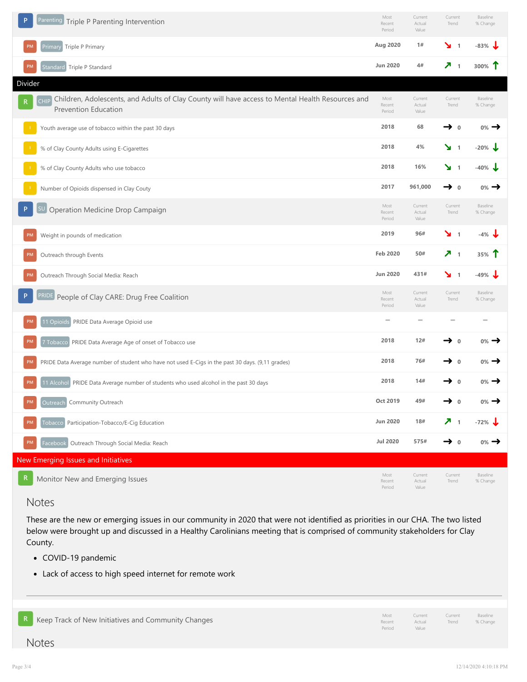| Parenting Triple P Parenting Intervention                                                                                                    | Most<br>Recent<br>Period | Current<br>Actual<br>Value | Current<br>Trend                           | Baseline<br>% Change         |
|----------------------------------------------------------------------------------------------------------------------------------------------|--------------------------|----------------------------|--------------------------------------------|------------------------------|
| Primary Triple P Primary                                                                                                                     | Aug 2020                 | 1#                         | $\mathbf{v}$ 1                             | $-83\%$                      |
| PM<br>Standard Triple P Standard                                                                                                             | <b>Jun 2020</b>          | 4#                         | л.<br>$\overline{1}$                       | 300%                         |
| Divider                                                                                                                                      |                          |                            |                                            |                              |
| Children, Adolescents, and Adults of Clay County will have access to Mental Health Resources and<br><b>CHIP</b><br>R<br>Prevention Education | Most<br>Recent<br>Period | Current<br>Actual<br>Value | Current<br>Trend                           | Baseline<br>% Change         |
| Youth average use of tobacco within the past 30 days                                                                                         | 2018                     | 68                         | →<br>$\mathbf 0$                           | $0\%$ $\rightarrow$          |
| % of Clay County Adults using E-Cigarettes                                                                                                   | 2018                     | 4%                         | $\mathbf{v}$ 1                             | $-20%$                       |
| % of Clay County Adults who use tobacco                                                                                                      | 2018                     | 16%                        | ↘<br>$\overline{1}$                        | -40%                         |
| Number of Opioids dispensed in Clay Couty                                                                                                    | 2017                     | 961,000                    | $\rightarrow$ 0                            | $0\%$ $\rightarrow$          |
| SU Operation Medicine Drop Campaign                                                                                                          | Most<br>Recent<br>Period | Current<br>Actual<br>Value | Current<br>Trend                           | Baseline<br>% Change         |
| Weight in pounds of medication<br>PM                                                                                                         | 2019                     | 96#                        | $\mathbf{v}$ 1                             | $-4\%$ $\frac{1}{2}$         |
| Outreach through Events<br><b>PM</b>                                                                                                         | <b>Feb 2020</b>          | 50#                        | $\overline{\phantom{a}}$<br>$\overline{1}$ | 35%                          |
| Outreach Through Social Media: Reach<br>PM                                                                                                   | <b>Jun 2020</b>          | 431#                       | ¥<br>$\overline{1}$                        | $-49%$                       |
| PRIDE People of Clay CARE: Drug Free Coalition                                                                                               | Most<br>Recent<br>Period | Current<br>Actual<br>Value | Current<br>Trend                           | Baseline<br>% Change         |
| PRIDE Data Average Opioid use<br>11 Opioids                                                                                                  | $\equiv$                 | $\overline{\phantom{a}}$   |                                            | $\qquad \qquad \blacksquare$ |
| 7 Tobacco PRIDE Data Average Age of onset of Tobacco use                                                                                     | 2018                     | 12#                        | $\mathbf 0$                                | $0\%$ $\rightarrow$          |
| PRIDE Data Average number of student who have not used E-Cigs in the past 30 days. (9,11 grades)                                             | 2018                     | 76#                        | $\mathbf{0}$                               | 0%                           |
| 11 Alcohol PRIDE Data Average number of students who used alcohol in the past 30 days<br>PM                                                  | 2018                     | 14#                        | $\mathbf{0}$                               | 0%                           |
| Community Outreach<br>PM<br>Outreach                                                                                                         | Oct 2019                 | 49#                        | $\mathbf{0}$                               | $_{0\%}\rightarrow$          |
| Tobacco Participation-Tobacco/E-Ciq Education<br>PM                                                                                          | <b>Jun 2020</b>          | 18#                        | 7 <sub>1</sub>                             | $-72\%$ J                    |
| Outreach Through Social Media: Reach<br><b>PM</b><br>Facebook                                                                                | <b>Jul 2020</b>          | 575#                       | $\rightarrow$ 0                            | $0\% \rightarrow$            |
| New Emerging Issues and Initiatives                                                                                                          |                          |                            |                                            |                              |
| R<br>Monitor New and Emerging Issues                                                                                                         | Most<br>Recent<br>Period | Current<br>Actual<br>Value | Current<br>Trend                           | Baseline<br>% Change         |

### Notes

These are the [new or emerging issues in our commun](http://storage.clearimpact.com/Measure/Details/449224)ity in 2020 that were not identified as priorities in our CHA. The two listed below were brought up and discussed in a Healthy Carolinians meeting that is comprised of community stakeholders for Clay Cou[nty.](http://storage.clearimpact.com/Measure/Details/447418) 

- COVID-19 pandemic
- Lack of ac[cess to high speed internet for remote work](http://storage.clearimpact.com/Measure/Details/447423)

| <b>R</b> Keep Track of New Initiatives and Community Changes | Most<br>Recent<br>Period | Current<br>Value | Current Baseline<br>Actual Trend % Change |  |
|--------------------------------------------------------------|--------------------------|------------------|-------------------------------------------|--|
|--------------------------------------------------------------|--------------------------|------------------|-------------------------------------------|--|

Notes